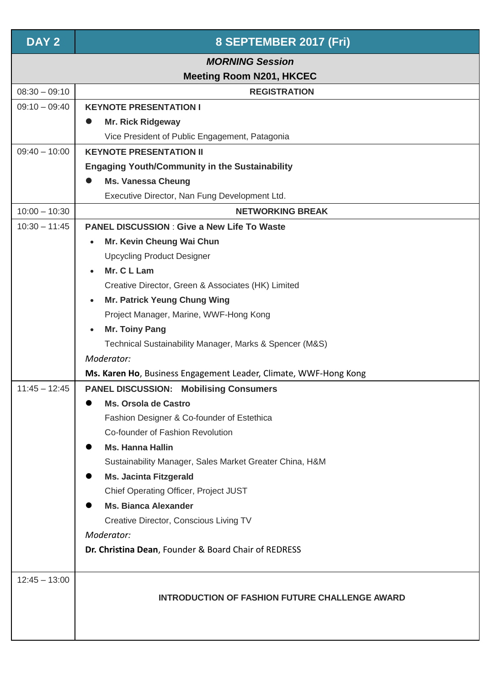| DAY <sub>2</sub>                                          | 8 SEPTEMBER 2017 (Fri)                                               |  |  |  |  |
|-----------------------------------------------------------|----------------------------------------------------------------------|--|--|--|--|
| <b>MORNING Session</b><br><b>Meeting Room N201, HKCEC</b> |                                                                      |  |  |  |  |
| $08:30 - 09:10$                                           | <b>REGISTRATION</b>                                                  |  |  |  |  |
| $09:10 - 09:40$                                           | <b>KEYNOTE PRESENTATION I</b>                                        |  |  |  |  |
|                                                           | <b>Mr. Rick Ridgeway</b><br>$\bullet$                                |  |  |  |  |
|                                                           | Vice President of Public Engagement, Patagonia                       |  |  |  |  |
| $09:40 - 10:00$                                           | <b>KEYNOTE PRESENTATION II</b>                                       |  |  |  |  |
|                                                           | <b>Engaging Youth/Community in the Sustainability</b>                |  |  |  |  |
|                                                           | <b>Ms. Vanessa Cheung</b>                                            |  |  |  |  |
|                                                           | Executive Director, Nan Fung Development Ltd.                        |  |  |  |  |
| $10:00 - 10:30$                                           | <b>NETWORKING BREAK</b>                                              |  |  |  |  |
| $10:30 - 11:45$                                           | <b>PANEL DISCUSSION: Give a New Life To Waste</b>                    |  |  |  |  |
|                                                           | Mr. Kevin Cheung Wai Chun                                            |  |  |  |  |
|                                                           | <b>Upcycling Product Designer</b>                                    |  |  |  |  |
|                                                           | Mr. C L Lam                                                          |  |  |  |  |
|                                                           | Creative Director, Green & Associates (HK) Limited                   |  |  |  |  |
|                                                           | <b>Mr. Patrick Yeung Chung Wing</b><br>$\bullet$                     |  |  |  |  |
|                                                           | Project Manager, Marine, WWF-Hong Kong                               |  |  |  |  |
|                                                           | <b>Mr. Toiny Pang</b><br>$\bullet$                                   |  |  |  |  |
|                                                           | Technical Sustainability Manager, Marks & Spencer (M&S)              |  |  |  |  |
|                                                           | Moderator:                                                           |  |  |  |  |
|                                                           | Ms. Karen Ho, Business Engagement Leader, Climate, WWF-Hong Kong     |  |  |  |  |
| $11:45 - 12:45$                                           | <b>PANEL DISCUSSION: Mobilising Consumers</b>                        |  |  |  |  |
|                                                           | <b>Ms. Orsola de Castro</b>                                          |  |  |  |  |
|                                                           | Fashion Designer & Co-founder of Estethica                           |  |  |  |  |
|                                                           | Co-founder of Fashion Revolution                                     |  |  |  |  |
|                                                           | <b>Ms. Hanna Hallin</b>                                              |  |  |  |  |
|                                                           | Sustainability Manager, Sales Market Greater China, H&M              |  |  |  |  |
|                                                           | <b>Ms. Jacinta Fitzgerald</b>                                        |  |  |  |  |
|                                                           | Chief Operating Officer, Project JUST<br><b>Ms. Bianca Alexander</b> |  |  |  |  |
|                                                           |                                                                      |  |  |  |  |
|                                                           | Creative Director, Conscious Living TV<br>Moderator:                 |  |  |  |  |
|                                                           | Dr. Christina Dean, Founder & Board Chair of REDRESS                 |  |  |  |  |
|                                                           |                                                                      |  |  |  |  |
| $12:45 - 13:00$                                           | <b>INTRODUCTION OF FASHION FUTURE CHALLENGE AWARD</b>                |  |  |  |  |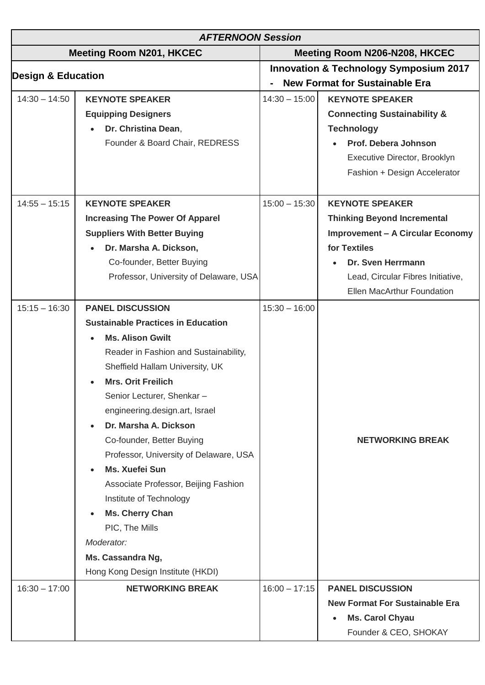| <b>AFTERNOON Session</b>        |                                                                                                                                                                                                                                                                                                                                                                                                                                                                                                                                                                                                     |                                                                                            |                                                                                                                                                                                                                 |  |  |
|---------------------------------|-----------------------------------------------------------------------------------------------------------------------------------------------------------------------------------------------------------------------------------------------------------------------------------------------------------------------------------------------------------------------------------------------------------------------------------------------------------------------------------------------------------------------------------------------------------------------------------------------------|--------------------------------------------------------------------------------------------|-----------------------------------------------------------------------------------------------------------------------------------------------------------------------------------------------------------------|--|--|
| <b>Meeting Room N201, HKCEC</b> |                                                                                                                                                                                                                                                                                                                                                                                                                                                                                                                                                                                                     | Meeting Room N206-N208, HKCEC                                                              |                                                                                                                                                                                                                 |  |  |
| <b>Design &amp; Education</b>   |                                                                                                                                                                                                                                                                                                                                                                                                                                                                                                                                                                                                     | <b>Innovation &amp; Technology Symposium 2017</b><br><b>New Format for Sustainable Era</b> |                                                                                                                                                                                                                 |  |  |
| $14:30 - 14:50$                 | <b>KEYNOTE SPEAKER</b><br><b>Equipping Designers</b><br>Dr. Christina Dean,<br>Founder & Board Chair, REDRESS                                                                                                                                                                                                                                                                                                                                                                                                                                                                                       | $14:30 - 15:00$                                                                            | <b>KEYNOTE SPEAKER</b><br><b>Connecting Sustainability &amp;</b><br><b>Technology</b><br>Prof. Debera Johnson<br>Executive Director, Brooklyn<br>Fashion + Design Accelerator                                   |  |  |
| $14:55 - 15:15$                 | <b>KEYNOTE SPEAKER</b><br><b>Increasing The Power Of Apparel</b><br><b>Suppliers With Better Buying</b><br>Dr. Marsha A. Dickson,<br>Co-founder, Better Buying<br>Professor, University of Delaware, USA                                                                                                                                                                                                                                                                                                                                                                                            | $15:00 - 15:30$                                                                            | <b>KEYNOTE SPEAKER</b><br><b>Thinking Beyond Incremental</b><br><b>Improvement - A Circular Economy</b><br>for Textiles<br>Dr. Sven Herrmann<br>Lead, Circular Fibres Initiative,<br>Ellen MacArthur Foundation |  |  |
| $15:15 - 16:30$                 | <b>PANEL DISCUSSION</b><br><b>Sustainable Practices in Education</b><br><b>Ms. Alison Gwilt</b><br>Reader in Fashion and Sustainability,<br>Sheffield Hallam University, UK<br><b>Mrs. Orit Freilich</b><br>Senior Lecturer, Shenkar-<br>engineering.design.art, Israel<br>Dr. Marsha A. Dickson<br>$\bullet$<br>Co-founder, Better Buying<br>Professor, University of Delaware, USA<br>Ms. Xuefei Sun<br>Associate Professor, Beijing Fashion<br>Institute of Technology<br>Ms. Cherry Chan<br>$\bullet$<br>PIC, The Mills<br>Moderator:<br>Ms. Cassandra Ng,<br>Hong Kong Design Institute (HKDI) | $15:30 - 16:00$                                                                            | <b>NETWORKING BREAK</b>                                                                                                                                                                                         |  |  |
| $16:30 - 17:00$                 | <b>NETWORKING BREAK</b>                                                                                                                                                                                                                                                                                                                                                                                                                                                                                                                                                                             | $16:00 - 17:15$                                                                            | <b>PANEL DISCUSSION</b><br><b>New Format For Sustainable Era</b><br><b>Ms. Carol Chyau</b><br>Founder & CEO, SHOKAY                                                                                             |  |  |